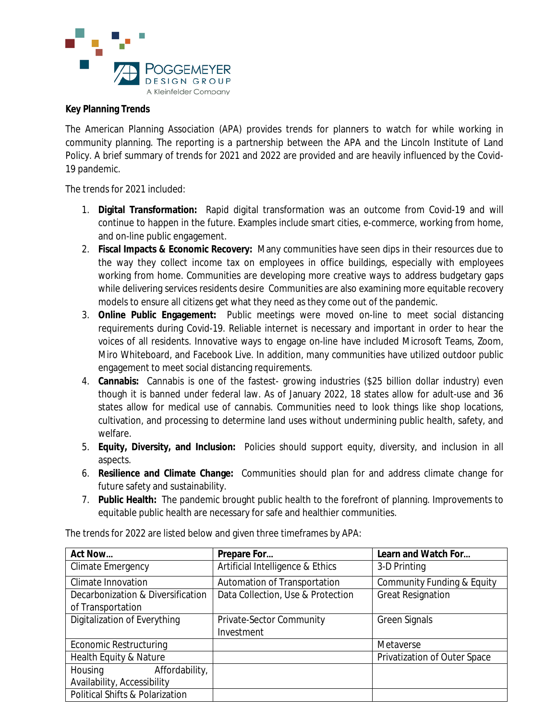

## **Key Planning Trends**

The American Planning Association (APA) provides trends for planners to watch for while working in community planning. The reporting is a partnership between the APA and the Lincoln Institute of Land Policy. A brief summary of trends for 2021 and 2022 are provided and are heavily influenced by the Covid-19 pandemic.

The trends for 2021 included:

- 1. **Digital Transformation:** Rapid digital transformation was an outcome from Covid-19 and will continue to happen in the future. Examples include smart cities, e-commerce, working from home, and on-line public engagement.
- 2. **Fiscal Impacts & Economic Recovery:** Many communities have seen dips in their resources due to the way they collect income tax on employees in office buildings, especially with employees working from home. Communities are developing more creative ways to address budgetary gaps while delivering services residents desire Communities are also examining more equitable recovery models to ensure all citizens get what they need as they come out of the pandemic.
- 3. **Online Public Engagement:** Public meetings were moved on-line to meet social distancing requirements during Covid-19. Reliable internet is necessary and important in order to hear the voices of all residents. Innovative ways to engage on-line have included Microsoft Teams, Zoom, Miro Whiteboard, and Facebook Live. In addition, many communities have utilized outdoor public engagement to meet social distancing requirements.
- 4. **Cannabis:** Cannabis is one of the fastest- growing industries (\$25 billion dollar industry) even though it is banned under federal law. As of January 2022, 18 states allow for adult-use and 36 states allow for medical use of cannabis. Communities need to look things like shop locations, cultivation, and processing to determine land uses without undermining public health, safety, and welfare.
- 5. **Equity, Diversity, and Inclusion:** Policies should support equity, diversity, and inclusion in all aspects.
- 6. **Resilience and Climate Change:** Communities should plan for and address climate change for future safety and sustainability.
- 7. **Public Health:** The pandemic brought public health to the forefront of planning. Improvements to equitable public health are necessary for safe and healthier communities.

| <b>Act Now</b>                    | Prepare For                       | Learn and Watch For          |
|-----------------------------------|-----------------------------------|------------------------------|
| Climate Emergency                 | Artificial Intelligence & Ethics  | 3-D Printing                 |
| Climate Innovation                | Automation of Transportation      | Community Funding & Equity   |
| Decarbonization & Diversification | Data Collection, Use & Protection | <b>Great Resignation</b>     |
| of Transportation                 |                                   |                              |
| Digitalization of Everything      | Private-Sector Community          | <b>Green Signals</b>         |
|                                   | Investment                        |                              |
| <b>Economic Restructuring</b>     |                                   | <b>Metaverse</b>             |
| Health Equity & Nature            |                                   | Privatization of Outer Space |
| Housing<br>Affordability,         |                                   |                              |
| Availability, Accessibility       |                                   |                              |
| Political Shifts & Polarization   |                                   |                              |

The trends for 2022 are listed below and given three timeframes by APA: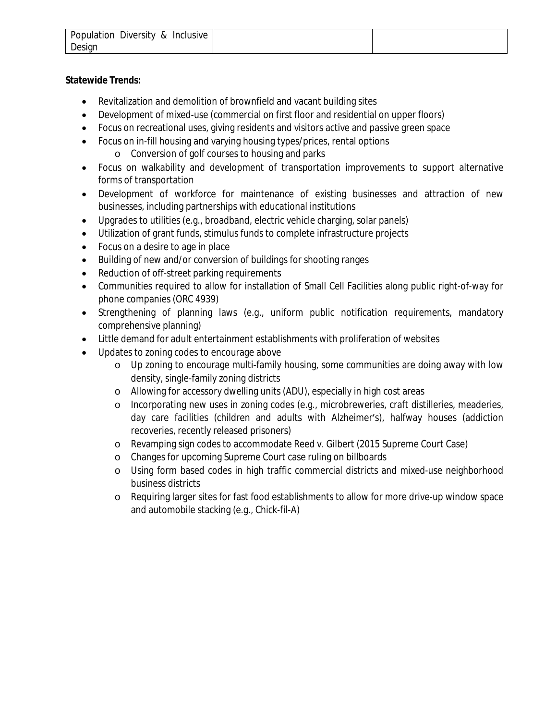| Population Diversity & Inclusive |  |
|----------------------------------|--|
| Design                           |  |

# **Statewide Trends:**

- Revitalization and demolition of brownfield and vacant building sites
- Development of mixed-use (commercial on first floor and residential on upper floors)
- Focus on recreational uses, giving residents and visitors active and passive green space
- Focus on in-fill housing and varying housing types/prices, rental options
	- o Conversion of golf courses to housing and parks
- Focus on walkability and development of transportation improvements to support alternative forms of transportation
- Development of workforce for maintenance of existing businesses and attraction of new businesses, including partnerships with educational institutions
- Upgrades to utilities (e.g., broadband, electric vehicle charging, solar panels)
- Utilization of grant funds, stimulus funds to complete infrastructure projects
- Focus on a desire to age in place
- Building of new and/or conversion of buildings for shooting ranges
- Reduction of off-street parking requirements
- Communities required to allow for installation of Small Cell Facilities along public right-of-way for phone companies (ORC 4939)
- Strengthening of planning laws (e.g., uniform public notification requirements, mandatory comprehensive planning)
- Little demand for adult entertainment establishments with proliferation of websites
- Updates to zoning codes to encourage above
	- o Up zoning to encourage multi-family housing, some communities are doing away with low density, single-family zoning districts
	- o Allowing for accessory dwelling units (ADU), especially in high cost areas
	- o Incorporating new uses in zoning codes (e.g., microbreweries, craft distilleries, meaderies, day care facilities (children and adults with Alzheimer's), halfway houses (addiction recoveries, recently released prisoners)
	- o Revamping sign codes to accommodate Reed v. Gilbert (2015 Supreme Court Case)
	- o Changes for upcoming Supreme Court case ruling on billboards
	- o Using form based codes in high traffic commercial districts and mixed-use neighborhood business districts
	- o Requiring larger sites for fast food establishments to allow for more drive-up window space and automobile stacking (e.g., Chick-fil-A)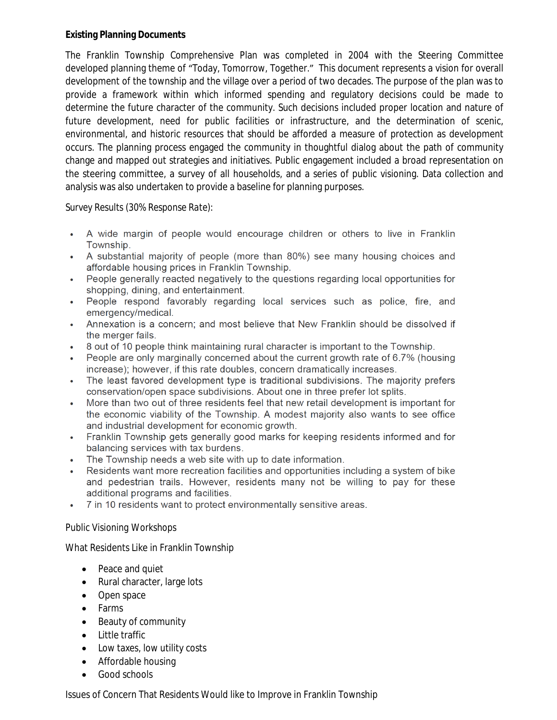### **Existing Planning Documents**

The Franklin Township Comprehensive Plan was completed in 2004 with the Steering Committee developed planning theme of "Today, Tomorrow, Together." This document represents a vision for overall development of the township and the village over a period of two decades. The purpose of the plan was to provide a framework within which informed spending and regulatory decisions could be made to determine the future character of the community. Such decisions included proper location and nature of future development, need for public facilities or infrastructure, and the determination of scenic, environmental, and historic resources that should be afforded a measure of protection as development occurs. The planning process engaged the community in thoughtful dialog about the path of community change and mapped out strategies and initiatives. Public engagement included a broad representation on the steering committee, a survey of all households, and a series of public visioning. Data collection and analysis was also undertaken to provide a baseline for planning purposes.

## *Survey Results (30% Response Rate):*

- A wide margin of people would encourage children or others to live in Franklin Township.
- A substantial majority of people (more than 80%) see many housing choices and affordable housing prices in Franklin Township.
- People generally reacted negatively to the questions regarding local opportunities for shopping, dining, and entertainment.
- People respond favorably regarding local services such as police, fire, and emergency/medical.
- Annexation is a concern; and most believe that New Franklin should be dissolved if the merger fails.
- 8 out of 10 people think maintaining rural character is important to the Township.
- People are only marginally concerned about the current growth rate of 6.7% (housing increase); however, if this rate doubles, concern dramatically increases.
- The least favored development type is traditional subdivisions. The majority prefers conservation/open space subdivisions. About one in three prefer lot splits.
- More than two out of three residents feel that new retail development is important for the economic viability of the Township. A modest majority also wants to see office and industrial development for economic growth.
- Franklin Township gets generally good marks for keeping residents informed and for balancing services with tax burdens.
- The Township needs a web site with up to date information.
- Residents want more recreation facilities and opportunities including a system of bike and pedestrian trails. However, residents many not be willing to pay for these additional programs and facilities.
- 7 in 10 residents want to protect environmentally sensitive areas.

## *Public Visioning Workshops*

What Residents Like in Franklin Township

- Peace and quiet
- Rural character, large lots
- Open space
- Farms
- Beauty of community
- Little traffic
- Low taxes, low utility costs
- Affordable housing
- Good schools

Issues of Concern That Residents Would like to Improve in Franklin Township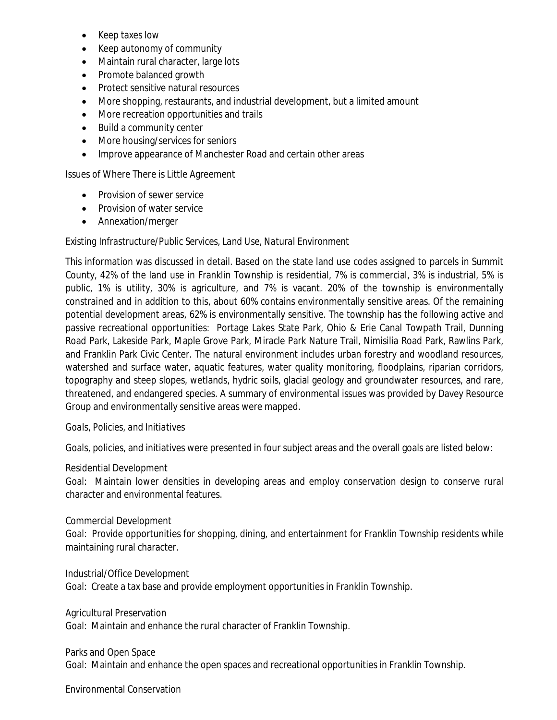- Keep taxes low
- Keep autonomy of community
- Maintain rural character, large lots
- Promote balanced growth
- Protect sensitive natural resources
- More shopping, restaurants, and industrial development, but a limited amount
- More recreation opportunities and trails
- Build a community center
- More housing/services for seniors
- Improve appearance of Manchester Road and certain other areas

Issues of Where There is Little Agreement

- **•** Provision of sewer service
- Provision of water service
- Annexation/merger

### *Existing Infrastructure/Public Services, Land Use, Natural Environment*

This information was discussed in detail. Based on the state land use codes assigned to parcels in Summit County, 42% of the land use in Franklin Township is residential, 7% is commercial, 3% is industrial, 5% is public, 1% is utility, 30% is agriculture, and 7% is vacant. 20% of the township is environmentally constrained and in addition to this, about 60% contains environmentally sensitive areas. Of the remaining potential development areas, 62% is environmentally sensitive. The township has the following active and passive recreational opportunities: Portage Lakes State Park, Ohio & Erie Canal Towpath Trail, Dunning Road Park, Lakeside Park, Maple Grove Park, Miracle Park Nature Trail, Nimisilia Road Park, Rawlins Park, and Franklin Park Civic Center. The natural environment includes urban forestry and woodland resources, watershed and surface water, aquatic features, water quality monitoring, floodplains, riparian corridors, topography and steep slopes, wetlands, hydric soils, glacial geology and groundwater resources, and rare, threatened, and endangered species. A summary of environmental issues was provided by Davey Resource Group and environmentally sensitive areas were mapped.

#### *Goals, Policies, and Initiatives*

Goals, policies, and initiatives were presented in four subject areas and the overall goals are listed below:

Residential Development

Goal: Maintain lower densities in developing areas and employ conservation design to conserve rural character and environmental features.

#### Commercial Development

Goal: Provide opportunities for shopping, dining, and entertainment for Franklin Township residents while maintaining rural character.

#### Industrial/Office Development

Goal: Create a tax base and provide employment opportunities in Franklin Township.

Agricultural Preservation

Goal: Maintain and enhance the rural character of Franklin Township.

#### Parks and Open Space

Goal: Maintain and enhance the open spaces and recreational opportunities in Franklin Township.

Environmental Conservation